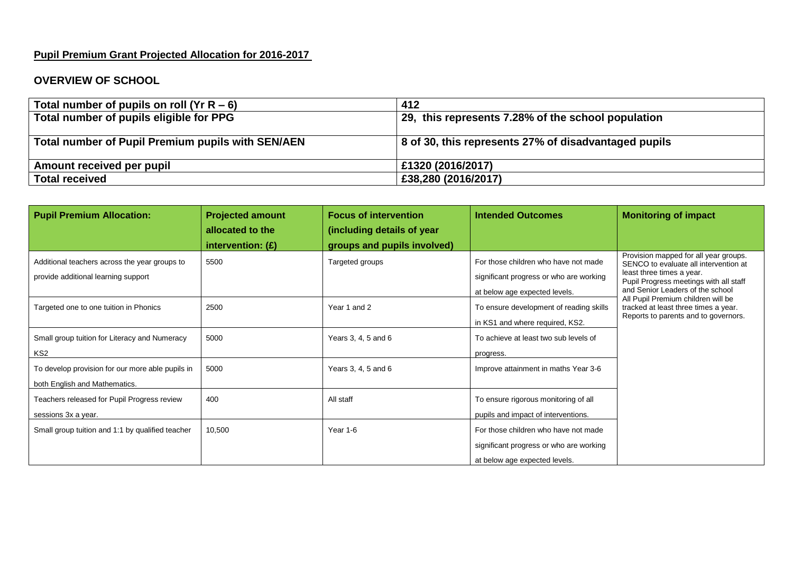## **Pupil Premium Grant Projected Allocation for 2016-2017**

## **OVERVIEW OF SCHOOL**

| Total number of pupils on roll ( $YrR - 6$ )      | 412                                                  |  |  |
|---------------------------------------------------|------------------------------------------------------|--|--|
| Total number of pupils eligible for PPG           | 29, this represents 7.28% of the school population   |  |  |
|                                                   |                                                      |  |  |
| Total number of Pupil Premium pupils with SEN/AEN | 8 of 30, this represents 27% of disadvantaged pupils |  |  |
|                                                   |                                                      |  |  |
| Amount received per pupil                         | £1320 (2016/2017)                                    |  |  |
| <b>Total received</b>                             | £38,280 (2016/2017)                                  |  |  |

| <b>Pupil Premium Allocation:</b>                                                     | <b>Projected amount</b><br>allocated to the | <b>Focus of intervention</b><br>(including details of year | <b>Intended Outcomes</b>                                                                                         | <b>Monitoring of impact</b>                                                                                                                                                                                                                                                                                     |
|--------------------------------------------------------------------------------------|---------------------------------------------|------------------------------------------------------------|------------------------------------------------------------------------------------------------------------------|-----------------------------------------------------------------------------------------------------------------------------------------------------------------------------------------------------------------------------------------------------------------------------------------------------------------|
|                                                                                      | intervention: $(E)$                         | groups and pupils involved)                                |                                                                                                                  |                                                                                                                                                                                                                                                                                                                 |
| Additional teachers across the year groups to<br>provide additional learning support | 5500                                        | Targeted groups                                            | For those children who have not made<br>significant progress or who are working                                  | Provision mapped for all year groups.<br>SENCO to evaluate all intervention at<br>least three times a year.<br>Pupil Progress meetings with all staff<br>and Senior Leaders of the school<br>All Pupil Premium children will be<br>tracked at least three times a year.<br>Reports to parents and to governors. |
| Targeted one to one tuition in Phonics                                               | 2500                                        | Year 1 and 2                                               | at below age expected levels.<br>To ensure development of reading skills<br>in KS1 and where required, KS2.      |                                                                                                                                                                                                                                                                                                                 |
| Small group tuition for Literacy and Numeracy<br>KS <sub>2</sub>                     | 5000                                        | Years 3, 4, 5 and 6                                        | To achieve at least two sub levels of<br>progress.                                                               |                                                                                                                                                                                                                                                                                                                 |
| To develop provision for our more able pupils in<br>both English and Mathematics.    | 5000                                        | Years 3, 4, 5 and 6                                        | Improve attainment in maths Year 3-6                                                                             |                                                                                                                                                                                                                                                                                                                 |
| Teachers released for Pupil Progress review<br>sessions 3x a year.                   | 400                                         | All staff                                                  | To ensure rigorous monitoring of all<br>pupils and impact of interventions.                                      |                                                                                                                                                                                                                                                                                                                 |
| Small group tuition and 1:1 by qualified teacher                                     | 10,500                                      | Year 1-6                                                   | For those children who have not made<br>significant progress or who are working<br>at below age expected levels. |                                                                                                                                                                                                                                                                                                                 |